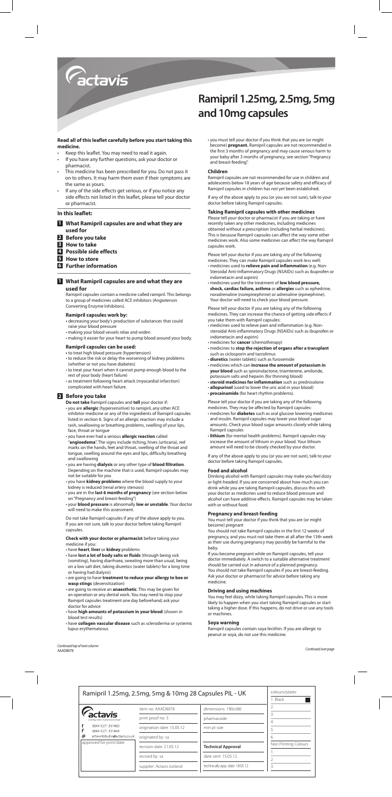

## **Read all of this leaflet carefully before you start taking this medicine.**

- Keep this leaflet. You may need to read it again.
- If you have any further questions, ask your doctor or pharmacist.
- This medicine has been prescribed for you. Do not pass it on to others. It may harm them even if their symptoms are the same as yours.
- If any of the side effects get serious, or if you notice any side effects not listed in this leaflet, please tell your doctor or pharmacist.

# **In this leaflet:**

# **1 What Ramipril capsules are and what they are used for**

- **2 Before you take**
- **3 How to take**
- **4 Possible side effects**
- **5 How to store**
- **6 Further information**

#### **1 What Ramipril capsules are and what they are used for**

Ramipril capsules contain a medicine called ramipril. This belongs to a group of medicines called ACE inhibitors (Angiotensin Converting Enzyme Inhibitors).

#### **Ramipril capsules work by:**

- decreasing your body's production of substances that could raise your blood pressure
- making your blood vessels relax and widen
- making it easier for your heart to pump blood around your body.

# **Ramipril capsules can be used:**

- to treat high blood pressure (hypertension)
- to reduce the risk or delay the worsening of kidney problems (whether or not you have diabetes)
- to treat your heart when it cannot pump enough blood to the rest of your body (heart failure)
- as treatment following heart attack (myocardial infarction) complicated with heart failure.

# **2 Before you take**

- **Do not take** Ramipril capsules and **tell** your doctor if: • you are **allergic** (hypersensitive) to ramipril, any other ACE inhibitor medicine or any of the ingredients of Ramipril capsules listed in section 6. Signs of an allergic reaction may include a rash, swallowing or breathing problems, swelling of your lips, face, throat or tongue
- you have ever had a serious **allergic reaction** called "**angioedema**". The signs include itching, hives (urticaria), red marks on the hands, feet and throat, swelling of the throat and tongue, swelling around the eyes and lips, difficulty breathing and swallowing
- you are having **dialysis** or any other type of **blood filtration**. Depending on the machine that is used, Ramipril capsules may not be suitable for you
- you have **kidney problems** where the blood supply to your kidney is reduced (renal artery stenosis)
- you are in the **last 6 months of pregnancy** (see section below on "Pregnancy and breast-feeding")
- your **blood pressure** is abnormally **low or unstable**. Your doctor will need to make this assessment.

Do not take Ramipril capsules if any of the above apply to you. If you are not sure, talk to your doctor before taking Ramipril capsules.

# **Check with your doctor or pharmacist** before taking your medicine if you:

- have **heart**, **liver** or **kidney** problems
- have **lost a lot of body salts or fluids** (through being sick (vomiting), having diarrhoea, sweating more than usual, being on a low salt diet, taking diuretics (water tablets) for a long time or having had dialysis)
- are going to have **treatment to reduce your allergy to bee or wasp stings** (desensitization)
- are going to receive an **anaesthetic**. This may be given for an operation or any dental work. You may need to stop your Ramipril capsules treatment one day beforehand; ask your doctor for advice
- have **high amounts of potassium in your blood** (shown in blood test results)
- have **collagen vascular disease** such as scleroderma or systemic lupus erythematosus

# **Ramipril 1.25mg, 2.5mg, 5mg and 10mg capsules**

• you must tell your doctor if you think that you are (or might become) **pregnant.** Ramipril capsules are not recommended in the first 3 months of pregnancy and may cause serious harm to your baby after 3 months of pregnancy, see section "Pregnancy and breast-feeding".

#### **Children**

Ramipril capsules are not recommended for use in children and adolescents below 18 years of age because safety and efficacy of Ramipril capsules in children has not yet been established.

If any of the above apply to you (or you are not sure), talk to your doctor before taking Ramipril capsules.

#### **Taking Ramipril capsules with other medicines**

Please tell your doctor or pharmacist if you are taking or have recently taken any other medicines, including medicines obtained without a prescription (including herbal medicines). This is because Ramipril capsules can affect the way some other medicines work. Also some medicines can affect the way Ramipril capsules work.

Please tell your doctor if you are taking any of the following medicines. They can make Ramipril capsules work less well:

- medicines used to **relieve pain and inflammation** (e.g. Non-Steroidal Anti-Inflammatory Drugs (NSAIDs) such as ibuprofen or indometacin and aspirin)
- medicines used for the treatment of **low blood pressure, shock, cardiac failure, asthma** or **allergies** such as ephedrine, noradrenaline (norepinephrine) or adrenaline (epinephrine). Your doctor will need to check your blood pressure.

Please tell your doctor if you are taking any of the following medicines. They can increase the chance of getting side effects if you take them with Ramipril capsules:

- medicines used to relieve pain and inflammation (e.g. Nonsteroidal Anti-inflammatory Drugs (NSAIDs) such as ibuprofen or indometacin and aspirin)
- medicines for **cancer** (chemotherapy) • medicines to **stop the rejection of organs after a transplant**
- such as ciclosporin and tacrolimus
- **diuretics** (water tablets) such as furosemide
- medicines which can **increase the amount of potassium in your blood** such as spironolactone, triamterene, amiloride, potassium salts and heparin (for thinning blood)
- **steroid medicines for inflammation** such as prednisolone • **allopurinol** (used to lower the uric acid in your blood)
- **procainamide** (for heart rhythm problems).
- 

Please tell your doctor if you are taking any of the following medicines. They may be affected by Ramipril capsules:

- medicines for **diabetes** such as oral glucose lowering medicines and insulin. Ramipril capsules may lower your blood sugar amounts. Check your blood sugar amounts closely while taking Ramipril capsules
- **lithium** (for mental health problems). Ramipril capsules may increase the amount of lithium in your blood. Your lithium amount will need to be closely checked by your doctor.

If any of the above apply to you (or you are not sure), talk to your doctor before taking Ramipril capsules.

#### **Food and alcohol**

Drinking alcohol with Ramipril capsules may make you feel dizzy or light-headed. If you are concerned about how much you can drink while you are taking Ramipril capsules, discuss this with your doctor as medicines used to reduce blood pressure and alcohol can have additive effects. Ramipril capsules may be taken with or without food.

## **Pregnancy and breast-feeding**

You must tell your doctor if you think that you are (or might become) pregnant

You should not take Ramipril capsules in the first 12 weeks of pregnancy, and you must not take them at all after the 13th week as their use during pregnancy may possibly be harmful to the baby.

If you become pregnant while on Ramipril capsules, tell your doctor immediately. A switch to a suitable alternative treatment should be carried out in advance of a planned pregnancy. You should not take Ramipril capsules if you are breast-feeding. Ask your doctor or pharmacist for advice before taking any medicine.

# **Driving and using machines**

You may feel dizzy, while taking Ramipril capsules. This is more likely to happen when you start taking Ramipril capsules or start taking a higher dose. If this happens, do not drive or use any tools or machines.

#### **Soya warning**

Ramipril capsules contain soya lecithin. If you are allergic to peanut or soya, do not use this medicine.